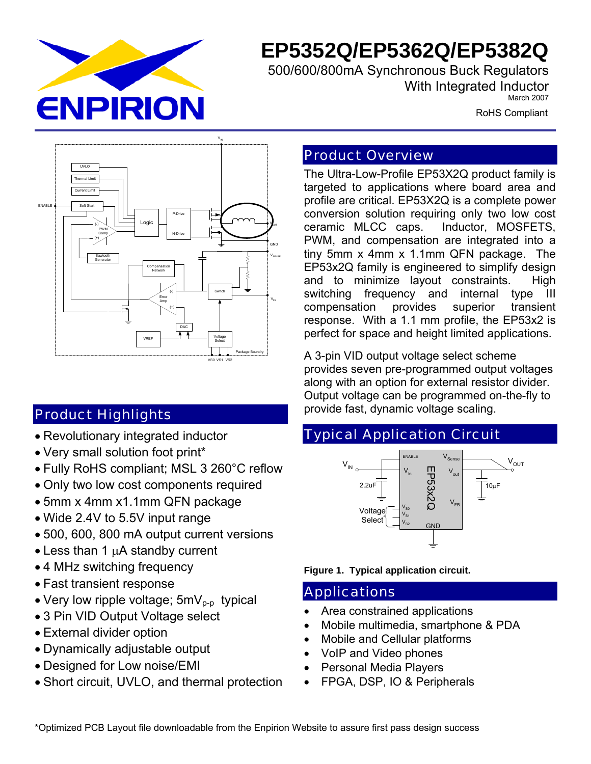

# **EP5352Q/EP5362Q/EP5382Q**

 500/600/800mA Synchronous Buck Regulators With Integrated Inductor March 2007

RoHS Compliant



# Product Highlights

- Revolutionary integrated inductor
- Very small solution foot print\*
- Fully RoHS compliant; MSL 3 260°C reflow
- Only two low cost components required
- 5mm x 4mm x1.1mm QFN package
- Wide 2.4V to 5.5V input range
- 500, 600, 800 mA output current versions
- Less than 1  $\mu$ A standby current
- 4 MHz switching frequency
- Fast transient response
- Very low ripple voltage;  $5mV_{p-p}$  typical
- 3 Pin VID Output Voltage select
- External divider option
- Dynamically adjustable output
- Designed for Low noise/EMI
- Short circuit, UVLO, and thermal protection

## Product Overview

The Ultra-Low-Profile EP53X2Q product family is targeted to applications where board area and profile are critical. EP53X2Q is a complete power conversion solution requiring only two low cost ceramic MLCC caps. Inductor, MOSFETS, PWM, and compensation are integrated into a tiny 5mm x 4mm x 1.1mm QFN package. The EP53x2Q family is engineered to simplify design and to minimize layout constraints. High switching frequency and internal type III compensation provides superior transient response. With a 1.1 mm profile, the EP53x2 is perfect for space and height limited applications.

A 3-pin VID output voltage select scheme provides seven pre-programmed output voltages along with an option for external resistor divider. Output voltage can be programmed on-the-fly to provide fast, dynamic voltage scaling.

# Typical Application Circuit



**Figure 1. Typical application circuit.** 

## Applications

- Area constrained applications
- Mobile multimedia, smartphone & PDA
- Mobile and Cellular platforms
- VoIP and Video phones
- Personal Media Players
- FPGA, DSP, IO & Peripherals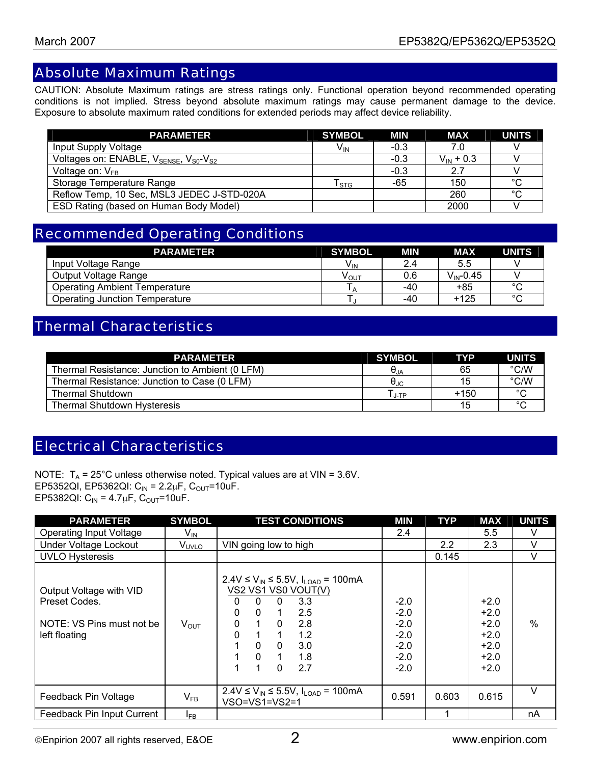## Absolute Maximum Ratings

CAUTION: Absolute Maximum ratings are stress ratings only. Functional operation beyond recommended operating conditions is not implied. Stress beyond absolute maximum ratings may cause permanent damage to the device. Exposure to absolute maximum rated conditions for extended periods may affect device reliability.

| <b>PARAMETER</b>                                                           | <b>SYMBOL</b>              | MIN    | MAX            | <b>UNITS</b> |
|----------------------------------------------------------------------------|----------------------------|--------|----------------|--------------|
| Input Supply Voltage                                                       | $V_{\text{IN}}$            | $-0.3$ | 7.0            |              |
| Voltages on: ENABLE, V <sub>SENSE</sub> , V <sub>S0</sub> -V <sub>S2</sub> |                            | $-0.3$ | $V_{IN}$ + 0.3 |              |
| Voltage on: $V_{FR}$                                                       |                            | $-0.3$ | 2.7            |              |
| Storage Temperature Range                                                  | ${\mathsf T}_{\text{STG}}$ | -65    | 150            | $^{\circ}C$  |
| Reflow Temp, 10 Sec, MSL3 JEDEC J-STD-020A                                 |                            |        | 260            | °С           |
| ESD Rating (based on Human Body Model)                                     |                            |        | 2000           |              |

## Recommended Operating Conditions

| <b>PARAMETER</b>                     | <b>SYMBOL</b>         | MIN | <b>MAX</b>              | <b>UNITS</b> |
|--------------------------------------|-----------------------|-----|-------------------------|--------------|
| Input Voltage Range                  | <b>V<sub>IN</sub></b> | 2.4 | 5.5                     |              |
| Output Voltage Range                 | ν <sub>ουτ</sub>      | 0.6 | $V_{\mathsf{IN}}$ -0.45 |              |
| <b>Operating Ambient Temperature</b> |                       | -40 | +85                     | $\circ$      |
| Operating Junction Temperature       |                       | -40 | +125                    | $\circ$      |

## Thermal Characteristics

| <b>PARAMETER</b>                                | <b>SYMBOL</b>          | <b>TYP</b> | <b>UNITS</b> |
|-------------------------------------------------|------------------------|------------|--------------|
| Thermal Resistance: Junction to Ambient (0 LFM) | $\Theta_{\mathsf{JA}}$ | 65         | °C/W         |
| Thermal Resistance: Junction to Case (0 LFM)    | $\theta_{\text{JC}}$   | 15         | °C/W         |
| Thermal Shutdown                                | J-TP                   | $+150$     | $\circ$      |
| <b>Thermal Shutdown Hysteresis</b>              |                        | 15         | $\sim$       |

## Electrical Characteristics

NOTE:  $T_A = 25^{\circ}$ C unless otherwise noted. Typical values are at VIN = 3.6V. EP5352QI, EP5362QI:  $C_{IN} = 2.2 \mu F$ ,  $C_{OUT} = 10 \mu F$ . EP5382QI:  $C_{IN} = 4.7 \mu F$ ,  $C_{OUT} = 10 \mu F$ .

| <b>PARAMETER</b>                                                                       | <b>SYMBOL</b>     | <b>TEST CONDITIONS</b>                                                                                                                                                                                                                             | <b>MIN</b>                                                         | <b>TYP</b> | <b>MAX</b>                                                         | <b>UNITS</b>  |
|----------------------------------------------------------------------------------------|-------------------|----------------------------------------------------------------------------------------------------------------------------------------------------------------------------------------------------------------------------------------------------|--------------------------------------------------------------------|------------|--------------------------------------------------------------------|---------------|
| <b>Operating Input Voltage</b>                                                         | V <sub>IN</sub>   |                                                                                                                                                                                                                                                    | 2.4                                                                |            | 5.5                                                                | v             |
| Under Voltage Lockout                                                                  | V <sub>UVLO</sub> | VIN going low to high                                                                                                                                                                                                                              |                                                                    | 2.2        | 2.3                                                                | $\vee$        |
| <b>UVLO Hysteresis</b>                                                                 |                   |                                                                                                                                                                                                                                                    |                                                                    | 0.145      |                                                                    | V             |
| Output Voltage with VID<br>Preset Codes.<br>NOTE: VS Pins must not be<br>left floating | $V_{\text{OUT}}$  | 2.4V ≤ $V_{IN}$ ≤ 5.5V, $I_{LOAD}$ = 100mA<br>VS2 VS1 VS0 VOUT(V)<br>3.3<br>0<br>$\Omega$<br>0<br>2.5<br>0<br>$\mathbf{0}$<br>1<br>0<br>2.8<br>$\Omega$<br>0<br>1.<br>1.2<br>$\Omega$<br>3.0<br>$\Omega$<br>$\mathbf{0}$<br>1.8<br>2.7<br>$\Omega$ | $-2.0$<br>$-2.0$<br>$-2.0$<br>$-2.0$<br>$-2.0$<br>$-2.0$<br>$-2.0$ |            | $+2.0$<br>$+2.0$<br>$+2.0$<br>$+2.0$<br>$+2.0$<br>$+2.0$<br>$+2.0$ | $\frac{0}{0}$ |
| Feedback Pin Voltage                                                                   | $V_{FB}$          | 2.4V ≤ $V_{IN}$ ≤ 5.5V, $I_{LOAD}$ = 100mA<br>$VSO=VS1=VS2=1$                                                                                                                                                                                      | 0.591                                                              | 0.603      | 0.615                                                              | V             |
| Feedback Pin Input Current                                                             | $I_{FB}$          |                                                                                                                                                                                                                                                    |                                                                    |            |                                                                    | nA            |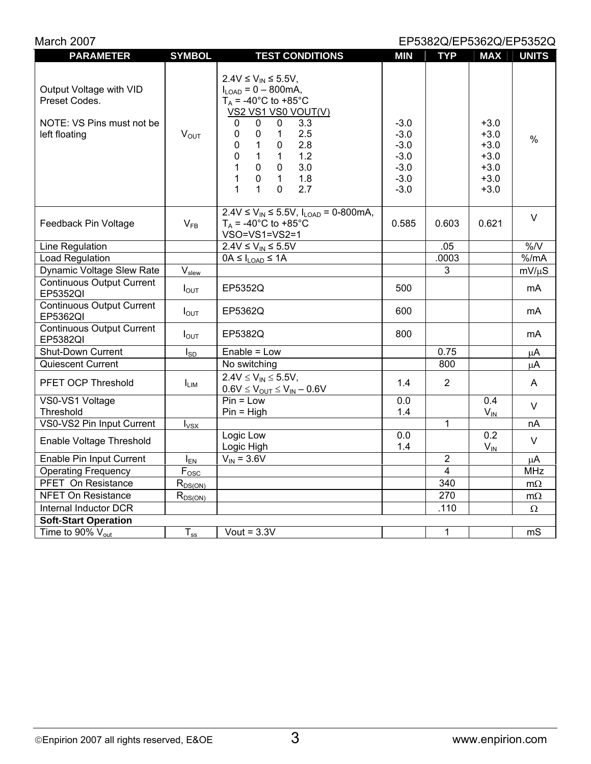| March 2007<br>EP5382Q/EP5362Q/EP5352Q                                                  |                   |                                                                                                                                                                                                                                                                                                                                                                              |                                                                    |                         |                                                                    |              |
|----------------------------------------------------------------------------------------|-------------------|------------------------------------------------------------------------------------------------------------------------------------------------------------------------------------------------------------------------------------------------------------------------------------------------------------------------------------------------------------------------------|--------------------------------------------------------------------|-------------------------|--------------------------------------------------------------------|--------------|
| <b>PARAMETER</b>                                                                       | <b>SYMBOL</b>     | <b>TEST CONDITIONS</b>                                                                                                                                                                                                                                                                                                                                                       | <b>MIN</b>                                                         | <b>TYP</b>              | <b>MAX</b>                                                         | <b>UNITS</b> |
| Output Voltage with VID<br>Preset Codes.<br>NOTE: VS Pins must not be<br>left floating | $V_{OUT}$         | $2.4V \le V_{IN} \le 5.5V,$<br>$I_{LOAD} = 0 - 800 \text{mA},$<br>$T_A$ = -40°C to +85°C<br>VS2 VS1 VS0 VOUT(V)<br>3.3<br>0<br>0<br>0<br>2.5<br>0<br>0<br>$\mathbf{1}$<br>$\mathbf{1}$<br>2.8<br>0<br>0<br>0<br>$\mathbf{1}$<br>1.2<br>$\mathbf{1}$<br>$\pmb{0}$<br>3.0<br>$\mathbf 0$<br>1<br>1.8<br>1<br>$\pmb{0}$<br>$\mathbf{1}$<br>$\mathbf{1}$<br>$\Omega$<br>2.7<br>1 | $-3.0$<br>$-3.0$<br>$-3.0$<br>$-3.0$<br>$-3.0$<br>$-3.0$<br>$-3.0$ |                         | $+3.0$<br>$+3.0$<br>$+3.0$<br>$+3.0$<br>$+3.0$<br>$+3.0$<br>$+3.0$ | $\%$         |
| Feedback Pin Voltage                                                                   | $V_{FB}$          | $2.4V \le V_{IN} \le 5.5V$ , $I_{LOAD} = 0.800mA$ ,<br>$T_A$ = -40°C to +85°C<br>VSO=VS1=VS2=1                                                                                                                                                                                                                                                                               | 0.585                                                              | 0.603                   | 0.621                                                              | $\vee$       |
| Line Regulation                                                                        |                   | $2.4V \le V_{IN} \le 5.5V$                                                                                                                                                                                                                                                                                                                                                   |                                                                    | .05                     |                                                                    | $\%$ /V      |
| Load Regulation                                                                        |                   | $0A \leq I_{\text{LOAD}} \leq 1A$                                                                                                                                                                                                                                                                                                                                            |                                                                    | .0003                   |                                                                    | % /mA        |
| Dynamic Voltage Slew Rate                                                              | V <sub>slew</sub> |                                                                                                                                                                                                                                                                                                                                                                              |                                                                    | 3                       |                                                                    | $mV/\mu S$   |
| <b>Continuous Output Current</b><br>EP5352QI                                           | $I_{\text{OUT}}$  | EP5352Q                                                                                                                                                                                                                                                                                                                                                                      | 500                                                                |                         |                                                                    | mA           |
| <b>Continuous Output Current</b><br>EP5362QI                                           | $I_{\text{OUT}}$  | EP5362Q                                                                                                                                                                                                                                                                                                                                                                      | 600                                                                |                         |                                                                    | mA           |
| <b>Continuous Output Current</b><br>EP5382QI                                           | $I_{\text{OUT}}$  | EP5382Q                                                                                                                                                                                                                                                                                                                                                                      | 800                                                                |                         |                                                                    | mA           |
| Shut-Down Current                                                                      | $I_{SD}$          | Enable = Low                                                                                                                                                                                                                                                                                                                                                                 |                                                                    | 0.75                    |                                                                    | $\mu$ A      |
| Quiescent Current                                                                      |                   | No switching                                                                                                                                                                                                                                                                                                                                                                 |                                                                    | 800                     |                                                                    | μA           |
| PFET OCP Threshold                                                                     | $I_{LIM}$         | $2.4V \le V_{IN} \le 5.5V$ ,<br>$0.6V \leq V_{OUT} \leq V_{IN} - 0.6V$                                                                                                                                                                                                                                                                                                       | 1.4                                                                | $\overline{2}$          |                                                                    | A            |
| VS0-VS1 Voltage                                                                        |                   | $Pin = Low$                                                                                                                                                                                                                                                                                                                                                                  | 0.0                                                                |                         | 0.4                                                                | V            |
| Threshold                                                                              |                   | $Pin = High$                                                                                                                                                                                                                                                                                                                                                                 | 1.4                                                                |                         | $V_{IN}$                                                           |              |
| VS0-VS2 Pin Input Current                                                              | $I_{VSX}$         |                                                                                                                                                                                                                                                                                                                                                                              |                                                                    | 1                       |                                                                    | nA           |
| Enable Voltage Threshold                                                               |                   | Logic Low<br>Logic High                                                                                                                                                                                                                                                                                                                                                      | 0.0<br>1.4                                                         |                         | 0.2<br>$V_{IN}$                                                    | V            |
| Enable Pin Input Current                                                               | $I_{EN}$          | $V_{IN} = 3.6V$                                                                                                                                                                                                                                                                                                                                                              |                                                                    | $\overline{2}$          |                                                                    | $\mu$ A      |
| <b>Operating Frequency</b>                                                             | $F_{\rm{osc}}$    |                                                                                                                                                                                                                                                                                                                                                                              |                                                                    | $\overline{\mathbf{4}}$ |                                                                    | MHz          |
| PFET On Resistance                                                                     | $R_{DS(ON)}$      |                                                                                                                                                                                                                                                                                                                                                                              |                                                                    | 340                     |                                                                    | $m\Omega$    |
| <b>NFET On Resistance</b>                                                              | $R_{DS(ON)}$      |                                                                                                                                                                                                                                                                                                                                                                              |                                                                    | 270                     |                                                                    | $m\Omega$    |
| Internal Inductor DCR                                                                  |                   | .110<br>$\Omega$                                                                                                                                                                                                                                                                                                                                                             |                                                                    |                         |                                                                    |              |
| <b>Soft-Start Operation</b>                                                            |                   |                                                                                                                                                                                                                                                                                                                                                                              |                                                                    |                         |                                                                    |              |
| Time to 90% $V_{\text{out}}$                                                           | $T_{ss}$          | Vout = $3.3V$                                                                                                                                                                                                                                                                                                                                                                |                                                                    | 1                       |                                                                    | mS           |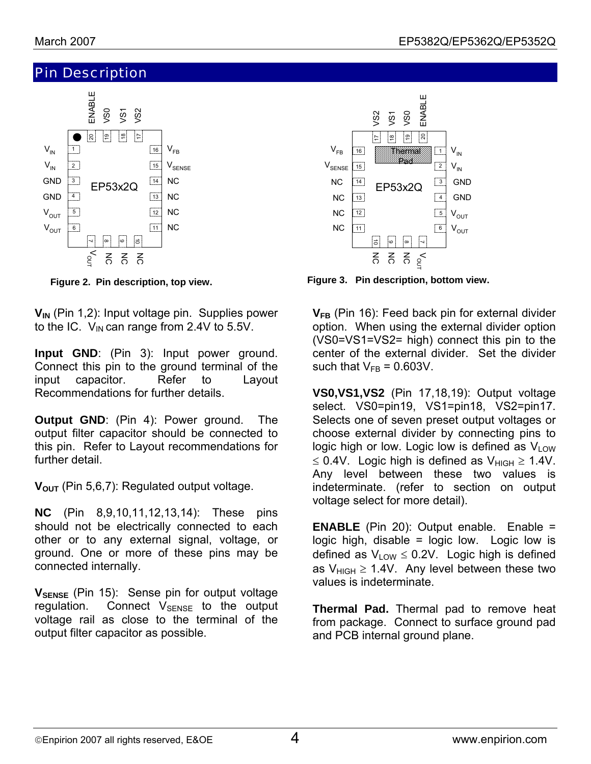## Pin Description



**V<sub>IN</sub>** (Pin 1,2): Input voltage pin. Supplies power to the IC.  $V_{IN}$  can range from 2.4V to 5.5V.

**Input GND**: (Pin 3): Input power ground. Connect this pin to the ground terminal of the input capacitor. Refer to Layout Recommendations for further details.

**Output GND:** (Pin 4): Power ground. The output filter capacitor should be connected to this pin. Refer to Layout recommendations for further detail.

V<sub>OUT</sub> (Pin 5,6,7): Regulated output voltage.

**NC** (Pin 8,9,10,11,12,13,14): These pins should not be electrically connected to each other or to any external signal, voltage, or ground. One or more of these pins may be connected internally.

**V**SENSE (Pin 15): Sense pin for output voltage regulation. Connect  $V_{\text{SENSE}}$  to the output voltage rail as close to the terminal of the output filter capacitor as possible.



**Figure 2. Pin description, top view. http://educerocommic Figure 3. Pin description, bottom view.** 

**VFB** (Pin 16): Feed back pin for external divider option. When using the external divider option (VS0=VS1=VS2= high) connect this pin to the center of the external divider. Set the divider such that  $V_{FB} = 0.603V$ .

**VS0,VS1,VS2** (Pin 17,18,19): Output voltage select. VS0=pin19, VS1=pin18, VS2=pin17. Selects one of seven preset output voltages or choose external divider by connecting pins to logic high or low. Logic low is defined as  $V_{LOW}$ ≤ 0.4V. Logic high is defined as  $V_{HIGH}$  ≥ 1.4V. Any level between these two values is indeterminate. (refer to section on output voltage select for more detail).

**ENABLE** (Pin 20): Output enable. Enable = logic high, disable = logic low. Logic low is defined as  $V_{LOW} \leq 0.2V$ . Logic high is defined as  $V_{HIGH} \ge 1.4V$ . Any level between these two values is indeterminate.

**Thermal Pad.** Thermal pad to remove heat from package. Connect to surface ground pad and PCB internal ground plane.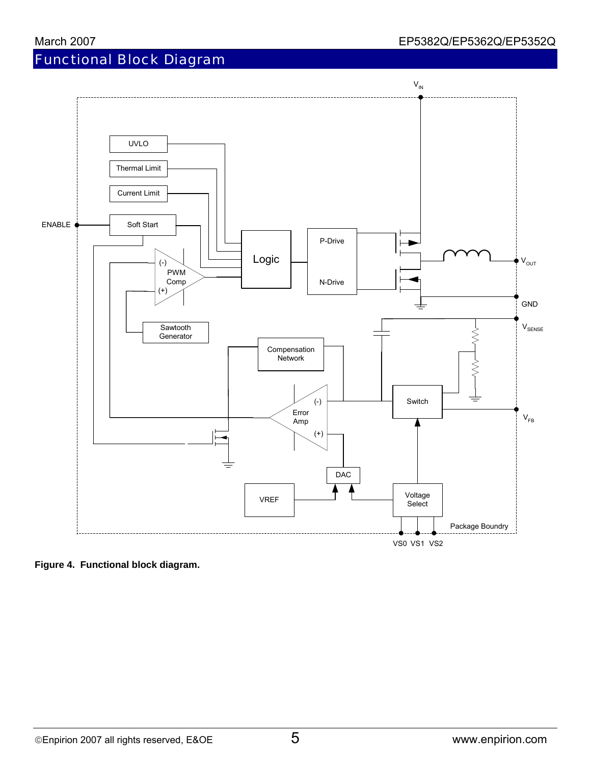# Functional Block Diagram



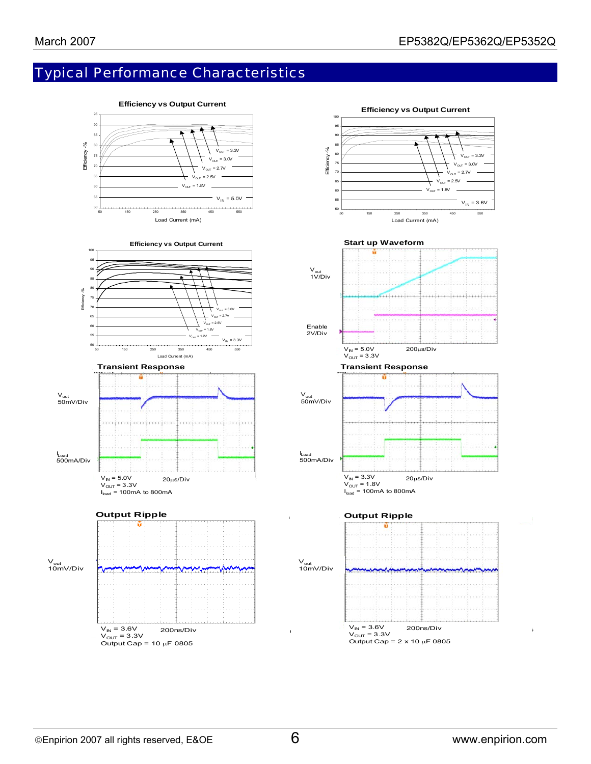# Typical Performance Characteristics

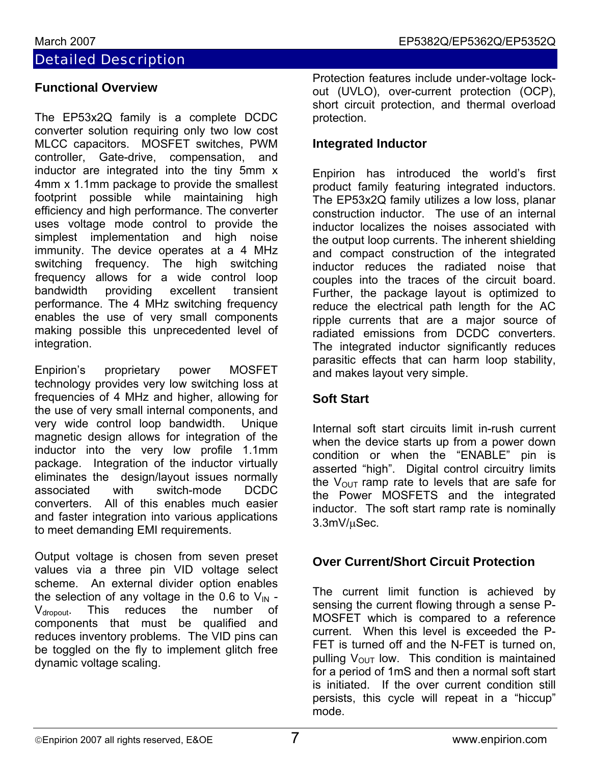## Detailed Description

## **Functional Overview**

The EP53x2Q family is a complete DCDC converter solution requiring only two low cost MLCC capacitors. MOSFET switches, PWM controller, Gate-drive, compensation, and inductor are integrated into the tiny 5mm x 4mm x 1.1mm package to provide the smallest footprint possible while maintaining high efficiency and high performance. The converter uses voltage mode control to provide the simplest implementation and high noise immunity. The device operates at a 4 MHz switching frequency. The high switching frequency allows for a wide control loop bandwidth providing excellent transient performance. The 4 MHz switching frequency enables the use of very small components making possible this unprecedented level of integration.

proprietary power MOSFET Enpirion's technology provides very low switching loss at frequencies of 4 MHz and higher, allowing for the use of very small internal components, and very wide control loop bandwidth. Unique magnetic design allows for integration of the inductor into the very low profile 1.1mm package. Integration of the inductor virtually eliminates the design/layout issues normally associated with switch-mode DCDC converters. All of this enables much easier and faster integration into various applications to meet demanding EMI requirements.

Output voltage is chosen from seven preset values via a three pin VID voltage select scheme. An external divider option enables the selection of any voltage in the 0.6 to  $V_{IN}$  - $V_{\text{dropout}}$ . This reduces the number of components that must be qualified and reduces inventory problems. The VID pins can be toggled on the fly to implement glitch free dynamic voltage scaling.

Protection features include under-voltage lockout (UVLO), over-current protection (OCP), short circuit protection, and thermal overload protection.

## **Integrated Inductor**

Enpirion has introduced the world's first product family featuring integrated inductors. The EP53x2Q family utilizes a low loss, planar construction inductor. The use of an internal inductor localizes the noises associated with the output loop currents. The inherent shielding and compact construction of the integrated inductor reduces the radiated noise that couples into the traces of the circuit board. Further, the package layout is optimized to reduce the electrical path length for the AC ripple currents that are a major source of radiated emissions from DCDC converters. The integrated inductor significantly reduces parasitic effects that can harm loop stability, and makes layout very simple.

## **Soft Start**

Internal soft start circuits limit in-rush current when the device starts up from a power down condition or when the "ENABLE" pin is asserted "high". Digital control circuitry limits the  $V_{\text{OUT}}$  ramp rate to levels that are safe for the Power MOSFETS and the integrated inductor. The soft start ramp rate is nominally 3.3mV/µSec.

## **Over Current/Short Circuit Protection**

The current limit function is achieved by sensing the current flowing through a sense P-MOSFET which is compared to a reference current. When this level is exceeded the P-FET is turned off and the N-FET is turned on, pulling  $V_{\text{OUT}}$  low. This condition is maintained for a period of 1mS and then a normal soft start is initiated. If the over current condition still persists, this cycle will repeat in a "hiccup" mode.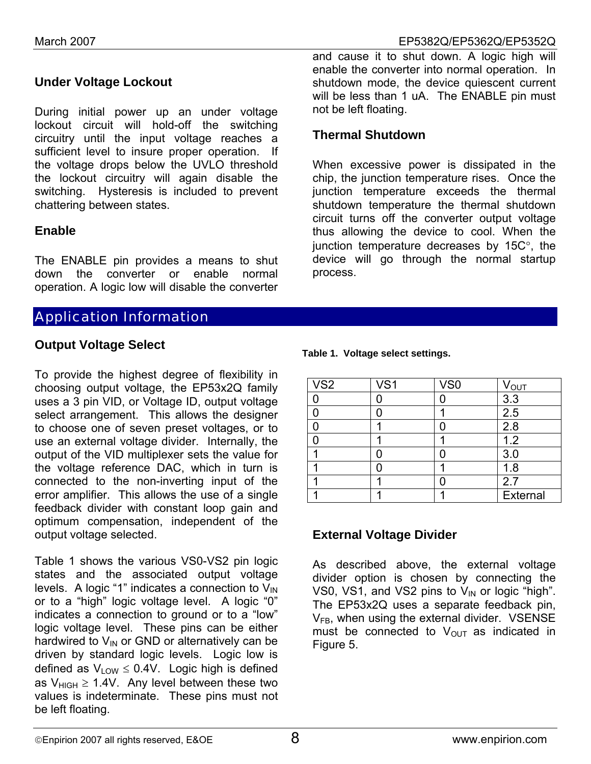## **Under Voltage Lockout**

During initial power up an under voltage lockout circuit will hold-off the switching circuitry until the input voltage reaches a sufficient level to insure proper operation. If the voltage drops below the UVLO threshold the lockout circuitry will again disable the switching. Hysteresis is included to prevent chattering between states.

#### **Enable**

The ENABLE pin provides a means to shut down the converter or enable normal operation. A logic low will disable the converter

## Application Information

#### **Output Voltage Select**

To provide the highest degree of flexibility in choosing output voltage, the EP53x2Q family uses a 3 pin VID, or Voltage ID, output voltage select arrangement. This allows the designer to choose one of seven preset voltages, or to use an external voltage divider. Internally, the output of the VID multiplexer sets the value for the voltage reference DAC, which in turn is connected to the non-inverting input of the error amplifier. This allows the use of a single feedback divider with constant loop gain and optimum compensation, independent of the output voltage selected.

Table 1 shows the various VS0-VS2 pin logic be left floating. states and the associated output voltage levels. A logic "1" indicates a connection to  $V_{IN}$ or to a "high" logic voltage level. A logic "0" indicates a connection to ground or to a "low" logic voltage level. These pins can be either hardwired to  $V_{\text{IN}}$  or GND or alternatively can be driven by standard logic levels. Logic low is defined as  $V_{\text{low}} \leq 0.4V$ . Logic high is defined as  $V_{HIGH} \ge 1.4V$ . Any level between these two values is indeterminate. These pins must not

and cause it to shut down. A logic high will enable the converter into normal operation. In shutdown mode, the device quiescent current will be less than 1 uA. The ENABLE pin must not be left floating.

#### **Thermal Shutdown**

When excessive power is dissipated in the chip, the junction temperature rises. Once the junction temperature exceeds the thermal shutdown temperature the thermal shutdown circuit turns off the converter output voltage thus allowing the device to cool. When the junction temperature decreases by 15C°, the device will go through the normal startup process.

| V <sub>S2</sub> | VS <sub>1</sub> | VS <sub>0</sub> | <b>VOUT</b> |
|-----------------|-----------------|-----------------|-------------|
|                 |                 |                 | 3.3         |
|                 |                 |                 | 2.5         |
|                 |                 |                 | 2.8         |
|                 |                 |                 | 1.2         |
|                 |                 |                 | 3.0         |
|                 |                 |                 | 1.8         |
|                 |                 |                 | 2.7         |
|                 |                 |                 | External    |

#### **Ta ble 1. Voltage select settings.**

## **External Voltage Divider**

divider option is chosen by connecting the VS0, VS1, and VS2 pins to  $V_{\text{IN}}$  or logic "high". As described above, the external voltage The EP53x2Q uses a separate feedback pin,  $V_{FB}$ , when using the external divider. VSENSE must be connected to  $V_{\text{OUT}}$  as indicated in Figure 5.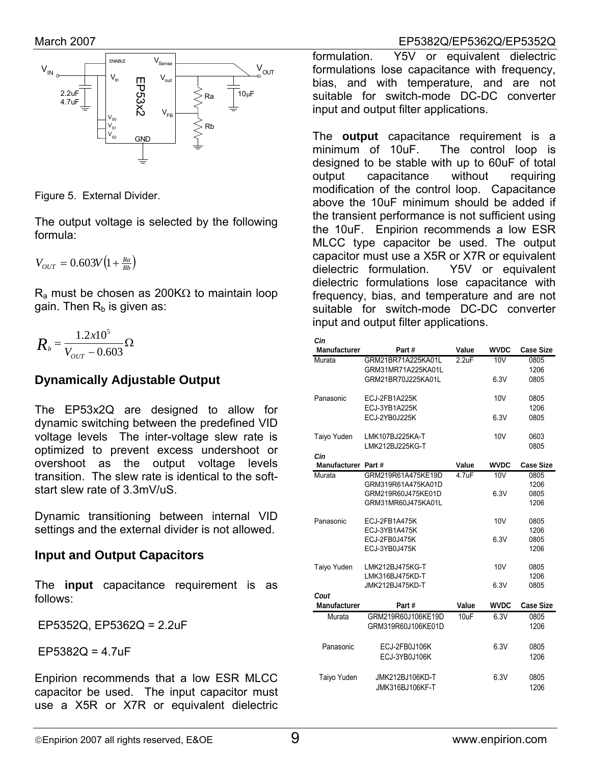

Figure 5. External Divider.

The output voltage is selected by the following formula:

$$
V_{OUT} = 0.603V \left(1 + \frac{Ra}{Rb}\right)
$$

 $R_a$  must be chosen as 200K $\Omega$  to maintain loop gain. Then  $R_b$  is given as:

$$
R_{b} = \frac{1.2x10^{5}}{V_{OUT} - 0.603} \Omega
$$

## **Dynamically Adjustable Output**

The EP53x2Q are designed to allow for dynamic switching between the predefined VID voltage levels The inter-voltage slew rate is optimized to prevent excess undershoot or overshoot as the output voltage levels transition. The slew rate is identical to the softstart slew rate of 3.3mV/uS.

Dynamic transitioning between internal VID settings and the external divider is not allowed.

## **Input and Output Capacitors**

The **input** capacitance requirement is as follows:

EP5352Q, EP5362Q = 2.2uF

EP5382Q = 4.7uF

Enpirion recommends that a low ESR MLCC capacitor be used. The input capacitor must use a X5R or X7R or equivalent dielectric

#### March 2007 EP5382Q/EP5362Q/EP5352Q

formulation. Y5V or equivalent dielectric formulations lose capacitance with frequency, bias, and with temperature, and are not suitable for switch-mode DC-DC converter input and output filter applications.

The **output** capacitance requirement is a minimum of 10uF. The control loop is designed to be stable with up to 60uF of total output capacitance without requiring modification of the control loop. Capacitance above the 10uF minimum should be added if the transient performance is not sufficient using the 10uF. Enpirion recommends a low ESR MLCC type capacitor be used. The output capacitor must use a X5R or X7R or equivalent dielectric formulation. Y5V or equivalent dielectric formulations lose capacitance with frequency, bias, and temperature and are not suitable for switch-mode DC-DC converter input and output filter applications.

| Cin                 |                    |       |                 |                  |
|---------------------|--------------------|-------|-----------------|------------------|
| <b>Manufacturer</b> | Part#              | Value | <b>WVDC</b>     | <b>Case Size</b> |
| Murata              | GRM21BR71A225KA01L | 2.2uF | 10 <sub>V</sub> | 0805             |
|                     | GRM31MR71A225KA01L |       |                 | 1206             |
|                     | GRM21BR70J225KA01L |       | 6.3V            | 0805             |
| Panasonic           | ECJ-2FB1A225K      |       | 10 <sub>V</sub> | 0805             |
|                     | ECJ-3YB1A225K      |       |                 | 1206             |
|                     | ECJ-2YB0J225K      |       | 6.3V            | 0805             |
| Taiyo Yuden         | LMK107BJ225KA-T    |       | 10 <sub>V</sub> | 0603             |
|                     | LMK212BJ225KG-T    |       |                 | 0805             |
| Cin                 |                    |       |                 |                  |
| Manufacturer Part#  |                    | Value | <b>WVDC</b>     | <b>Case Size</b> |
| Murata              | GRM219R61A475KE19D | 47uF  | 10V             | 0805             |
|                     | GRM319R61A475KA01D |       |                 | 1206             |
|                     | GRM219R60J475KE01D |       | 6.3V            | 0805             |
|                     | GRM31MR60J475KA01L |       |                 | 1206             |
| Panasonic           | ECJ-2FB1A475K      |       | 10 <sub>V</sub> | 0805             |
|                     | ECJ-3YB1A475K      |       |                 | 1206             |
|                     | ECJ-2FB0J475K      |       | 6.3V            | 0805             |
|                     | ECJ-3YB0J475K      |       |                 | 1206             |
| Taiyo Yuden         | LMK212BJ475KG-T    |       | 10 <sub>V</sub> | 0805             |
|                     | LMK316BJ475KD-T    |       |                 | 1206             |
|                     | JMK212BJ475KD-T    |       | 6.3V            | 0805             |
| Cout                |                    |       |                 |                  |
| Manufacturer        | Part#              | Value | <b>WVDC</b>     | <b>Case Size</b> |
| Murata              | GRM219R60J106KE19D | 10uF  | 6.3V            | 0805             |
|                     | GRM319R60J106KE01D |       |                 | 1206             |
| Panasonic           | ECJ-2FB0J106K      |       | 6.3V            | 0805             |
|                     | ECJ-3YB0J106K      |       |                 | 1206             |
| Taiyo Yuden         | JMK212BJ106KD-T    |       | 6.3V            | 0805             |
|                     | JMK316BJ106KF-T    |       |                 | 1206             |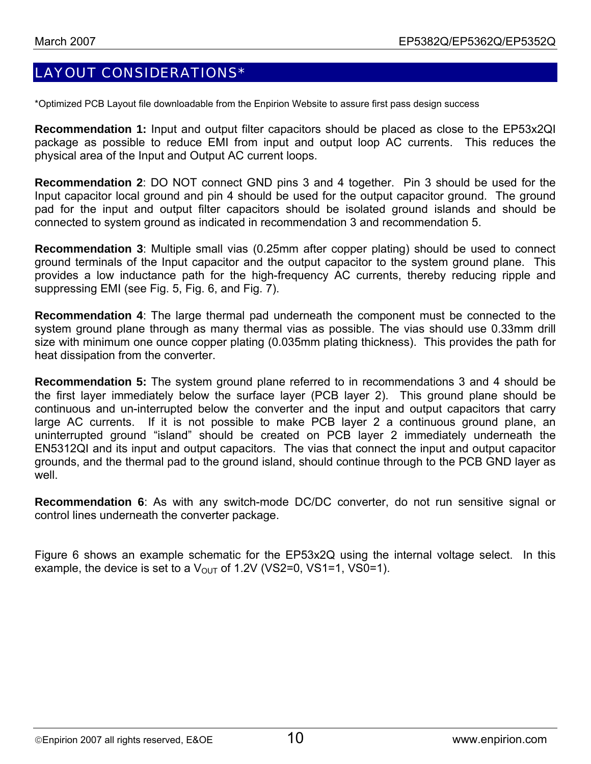## LAYOUT CONSIDERATIONS\*

\*Optimized PCB Layout file downloadable from the Enpirion Website to assure first pass design success

**Recommendation 1:** Input and output filter capacitors should be placed as close to the EP53x2QI package as possible to reduce EMI from input and output loop AC currents. This reduces the physical area of the Input and Output AC current loops.

**Recommendation 2**: DO NOT connect GND pins 3 and 4 together. Pin 3 should be used for the Input capacitor local ground and pin 4 should be used for the output capacitor ground. The ground pad for the input and output filter capacitors should be isolated ground islands and should be connected to system ground as indicated in recommendation 3 and recommendation 5.

**Recommendation 3**: Multiple small vias (0.25mm after copper plating) should be used to connect ground terminals of the Input capacitor and the output capacitor to the system ground plane. This provides a low inductance path for the high-frequency AC currents, thereby reducing ripple and suppressing EMI (see Fig. 5, Fig. 6, and Fig. 7).

**Recommendation 4**: The large thermal pad underneath the component must be connected to the system ground plane through as many thermal vias as possible. The vias should use 0.33mm drill size with minimum one ounce copper plating (0.035mm plating thickness). This provides the path for heat dissipation from the converter.

**Recommendation 5:** The system ground plane referred to in recommendations 3 and 4 should be the first layer immediately below the surface layer (PCB layer 2). This ground plane should be continuous and un-interrupted below the converter and the input and output capacitors that carry large AC currents. If it is not possible to make PCB layer 2 a continuous ground plane, an uninterrupted ground "island" should be created on PCB layer 2 immediately underneath the EN5312QI and its input and output capacitors. The vias that connect the input and output capacitor grounds, and the thermal pad to the ground island, should continue through to the PCB GND layer as well.

**Recommendation 6**: As with any switch-mode DC/DC converter, do not run sensitive signal or control lines underneath the converter package.

Figure 6 shows an example schematic for the EP53x2Q using the internal voltage select. In this example, the device is set to a  $V_{\text{OUT}}$  of 1.2V (VS2=0, VS1=1, VS0=1).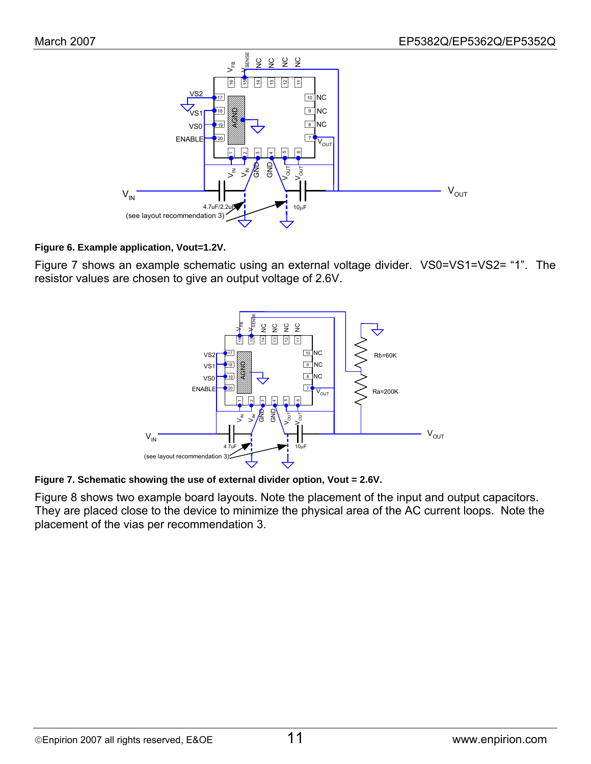

#### **Figure 6. Example application, Vout=1.2V.**

Figure 7 shows an example schematic using an external voltage divider. VS0=VS1=VS2= "1". The resistor values are chosen to give an output voltage of 2.6V.



#### **Figure 7. Schematic showing the use of external divider option, Vout = 2.6V.**

Figure 8 shows two example board layouts. Note the placement of the input and output capacitors. They are placed close to the device to minimize the physical area of the AC current loops. Note the placement of the vias per recommendation 3.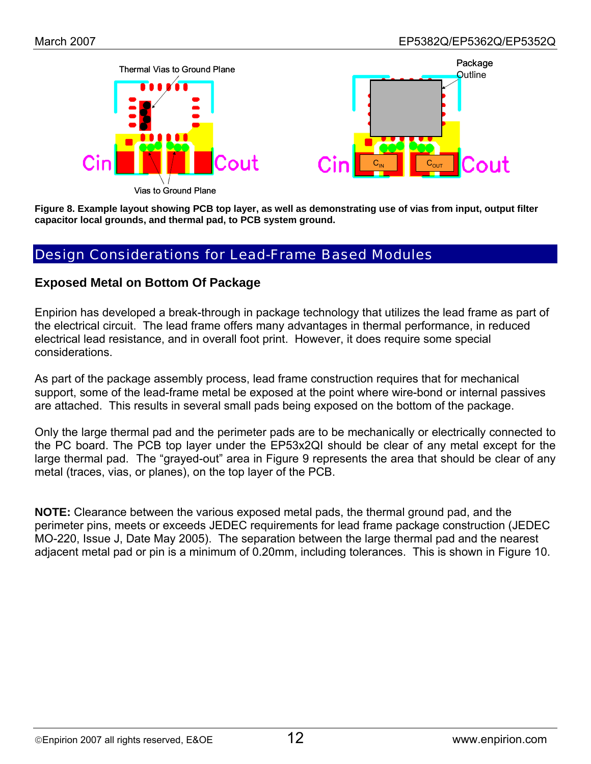

**Figure 8. Example layout showing PCB top layer, as well as demonstrating use of vias from input, output filter capacitor local grounds, and thermal pad, to PCB system ground.** 

## Design Considerations for Lead-Frame Based Modules

#### **Exposed Metal on Bottom Of Package**

Enpirion has developed a break-through in package technology that utilizes the lead frame as part of the electrical circuit. The lead frame offers many advantages in thermal performance, in reduced electrical lead resistance, and in overall foot print. However, it does require some special considerations.

As part of the package assembly process, lead frame construction requires that for mechanical support, some of the lead-frame metal be exposed at the point where wire-bond or internal passives are attached. This results in several small pads being exposed on the bottom of the package.

Only the large thermal pad and the perimeter pads are to be mechanically or electrically connected to the PC board. The PCB top layer under the EP53x2QI should be clear of any metal except for the large thermal pad. The "grayed-out" area in Figure 9 represents the area that should be clear of any metal (traces, vias, or planes), on the top layer of the PCB.

**NOTE:** Clearance between the various exposed metal pads, the thermal ground pad, and the perimeter pins, meets or exceeds JEDEC requirements for lead frame package construction (JEDEC MO-220, Issue J, Date May 2005). The separation between the large thermal pad and the nearest adjacent metal pad or pin is a minimum of 0.20mm, including tolerances. This is shown in Figure 10.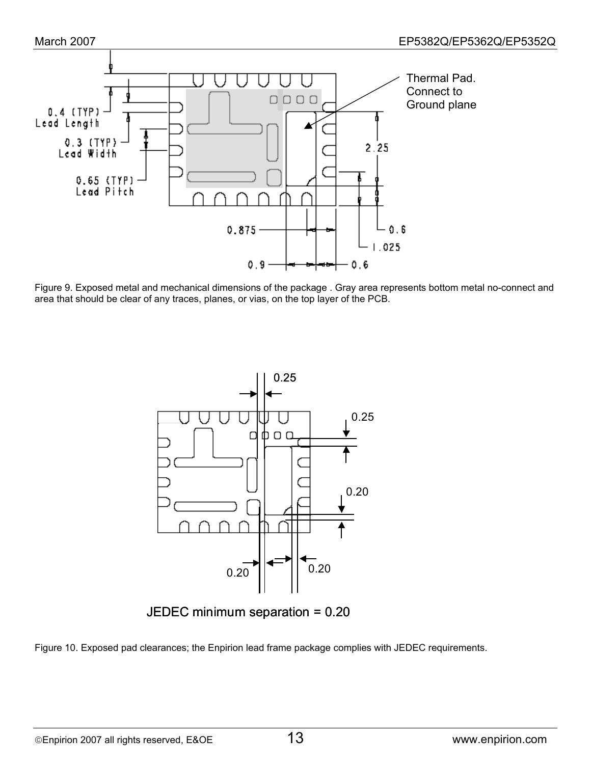



Figure 9. Exposed metal and mechanical dimensions of the package . Gray area represents bottom metal no-connect and area that should be clear of any traces, planes, or vias, on the top layer of the PCB.



JEDEC minimum separation = 0.20

Figure 10. Exposed pad clearances; the Enpirion lead frame package complies with JEDEC requirements.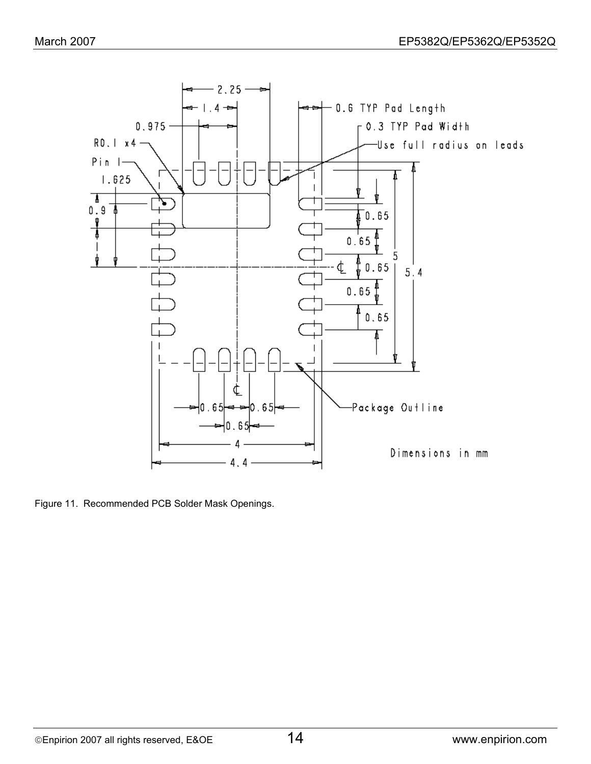

Figure 11. Recommended PCB Solder Mask Openings.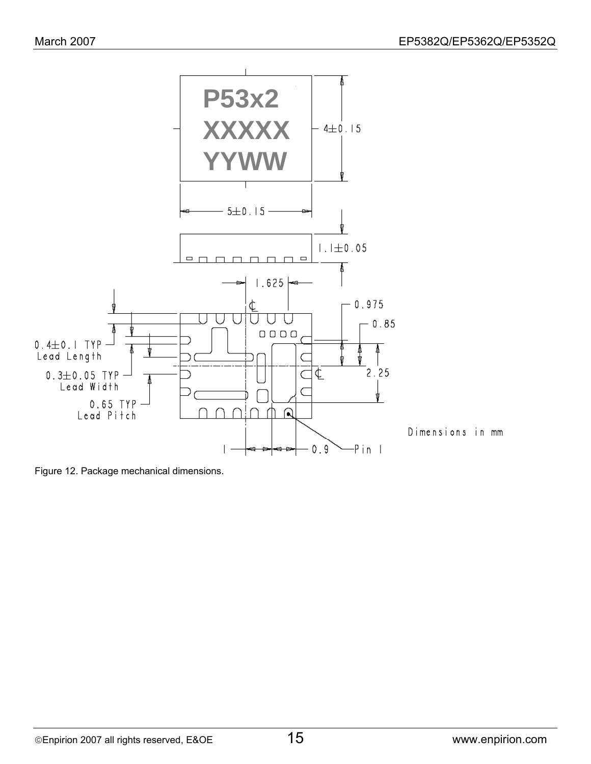

Figure 12. Package mechanical dimensions.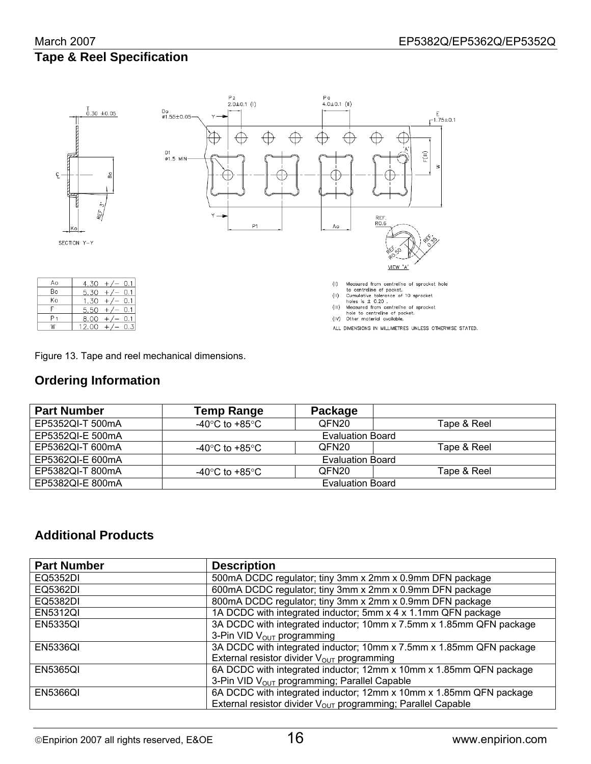# **Tape & Reel Specification**



Figure 13. Tape and reel mechanical dimensions.

#### **Ordering Information**

| <b>Part Number</b> | Temp Range              | Package                 |             |  |  |
|--------------------|-------------------------|-------------------------|-------------|--|--|
| EP5352QI-T 500mA   | -40°C to +85°C          | QFN <sub>20</sub>       | Tape & Reel |  |  |
| EP5352QI-E 500mA   |                         | Evaluation Board        |             |  |  |
| EP5362QI-T 600mA   | -40°C to +85°C          | QFN <sub>20</sub>       | Tape & Reel |  |  |
| EP5362QI-E 600mA   | <b>Evaluation Board</b> |                         |             |  |  |
| EP5382QI-T 800mA   | -40°C to +85°C          | QFN <sub>20</sub>       | Tape & Reel |  |  |
| EP5382QI-E 800mA   |                         | <b>Evaluation Board</b> |             |  |  |

## **Additional Products**

| <b>Part Number</b> | <b>Description</b>                                                       |
|--------------------|--------------------------------------------------------------------------|
| EQ5352DI           | 500mA DCDC regulator; tiny 3mm x 2mm x 0.9mm DFN package                 |
| EQ5362DI           | 600mA DCDC regulator; tiny 3mm x 2mm x 0.9mm DFN package                 |
| EQ5382DI           | 800mA DCDC regulator; tiny 3mm x 2mm x 0.9mm DFN package                 |
| <b>EN5312QI</b>    | 1A DCDC with integrated inductor; 5mm x 4 x 1.1mm QFN package            |
| <b>EN5335QI</b>    | 3A DCDC with integrated inductor; 10mm x 7.5mm x 1.85mm QFN package      |
|                    | 3-Pin VID V <sub>OUT</sub> programming                                   |
| <b>EN5336QI</b>    | 3A DCDC with integrated inductor; 10mm x 7.5mm x 1.85mm QFN package      |
|                    | External resistor divider V <sub>OUT</sub> programming                   |
| <b>EN5365QI</b>    | 6A DCDC with integrated inductor; 12mm x 10mm x 1.85mm QFN package       |
|                    | 3-Pin VID V <sub>OUT</sub> programming; Parallel Capable                 |
| <b>EN5366QI</b>    | 6A DCDC with integrated inductor; 12mm x 10mm x 1.85mm QFN package       |
|                    | External resistor divider V <sub>OUT</sub> programming; Parallel Capable |